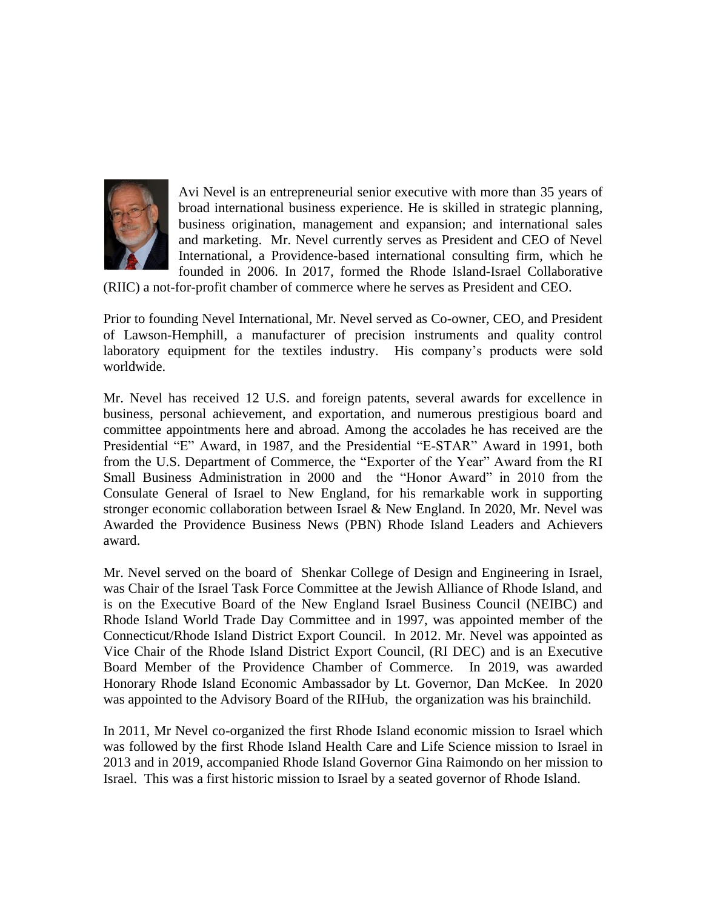

Avi Nevel is an entrepreneurial senior executive with more than 35 years of broad international business experience. He is skilled in strategic planning, business origination, management and expansion; and international sales and marketing. Mr. Nevel currently serves as President and CEO of Nevel International, a Providence-based international consulting firm, which he founded in 2006. In 2017, formed the Rhode Island-Israel Collaborative

(RIIC) a not-for-profit chamber of commerce where he serves as President and CEO.

Prior to founding Nevel International, Mr. Nevel served as Co-owner, CEO, and President of Lawson-Hemphill, a manufacturer of precision instruments and quality control laboratory equipment for the textiles industry. His company's products were sold worldwide.

Mr. Nevel has received 12 U.S. and foreign patents, several awards for excellence in business, personal achievement, and exportation, and numerous prestigious board and committee appointments here and abroad. Among the accolades he has received are the Presidential "E" Award, in 1987, and the Presidential "E-STAR" Award in 1991, both from the U.S. Department of Commerce, the "Exporter of the Year" Award from the RI Small Business Administration in 2000 and the "Honor Award" in 2010 from the Consulate General of Israel to New England, for his remarkable work in supporting stronger economic collaboration between Israel & New England. In 2020, Mr. Nevel was Awarded the Providence Business News (PBN) Rhode Island Leaders and Achievers award.

Mr. Nevel served on the board of Shenkar College of Design and Engineering in Israel, was Chair of the Israel Task Force Committee at the Jewish Alliance of Rhode Island, and is on the Executive Board of the New England Israel Business Council (NEIBC) and Rhode Island World Trade Day Committee and in 1997, was appointed member of the Connecticut/Rhode Island District Export Council. In 2012. Mr. Nevel was appointed as Vice Chair of the Rhode Island District Export Council, (RI DEC) and is an Executive Board Member of the Providence Chamber of Commerce. In 2019, was awarded Honorary Rhode Island Economic Ambassador by Lt. Governor, Dan McKee. In 2020 was appointed to the Advisory Board of the RIHub, the organization was his brainchild.

In 2011, Mr Nevel co-organized the first Rhode Island economic mission to Israel which was followed by the first Rhode Island Health Care and Life Science mission to Israel in 2013 and in 2019, accompanied Rhode Island Governor Gina Raimondo on her mission to Israel. This was a first historic mission to Israel by a seated governor of Rhode Island.